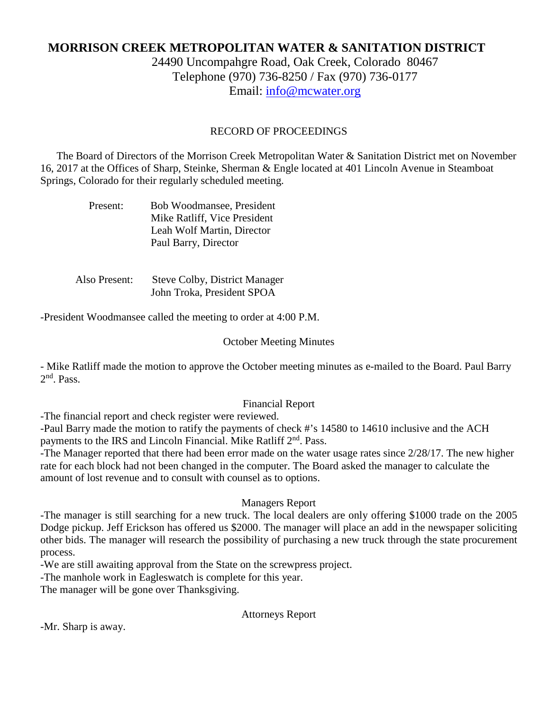# **MORRISON CREEK METROPOLITAN WATER & SANITATION DISTRICT**

24490 Uncompahgre Road, Oak Creek, Colorado 80467 Telephone (970) 736-8250 / Fax (970) 736-0177 Email: [info@mcwater.org](mailto:info@mcwater.org)

### RECORD OF PROCEEDINGS

 The Board of Directors of the Morrison Creek Metropolitan Water & Sanitation District met on November 16, 2017 at the Offices of Sharp, Steinke, Sherman & Engle located at 401 Lincoln Avenue in Steamboat Springs, Colorado for their regularly scheduled meeting.

| Present: | Bob Woodmansee, President    |
|----------|------------------------------|
|          | Mike Ratliff, Vice President |
|          | Leah Wolf Martin, Director   |
|          | Paul Barry, Director         |

 Also Present: Steve Colby, District Manager John Troka, President SPOA

-President Woodmansee called the meeting to order at 4:00 P.M.

#### October Meeting Minutes

- Mike Ratliff made the motion to approve the October meeting minutes as e-mailed to the Board. Paul Barry 2nd. Pass.

#### Financial Report

-The financial report and check register were reviewed.

-Paul Barry made the motion to ratify the payments of check #'s 14580 to 14610 inclusive and the ACH payments to the IRS and Lincoln Financial. Mike Ratliff 2<sup>nd</sup>. Pass.

-The Manager reported that there had been error made on the water usage rates since 2/28/17. The new higher rate for each block had not been changed in the computer. The Board asked the manager to calculate the amount of lost revenue and to consult with counsel as to options.

#### Managers Report

-The manager is still searching for a new truck. The local dealers are only offering \$1000 trade on the 2005 Dodge pickup. Jeff Erickson has offered us \$2000. The manager will place an add in the newspaper soliciting other bids. The manager will research the possibility of purchasing a new truck through the state procurement process.

-We are still awaiting approval from the State on the screwpress project.

-The manhole work in Eagleswatch is complete for this year.

The manager will be gone over Thanksgiving.

Attorneys Report

-Mr. Sharp is away.